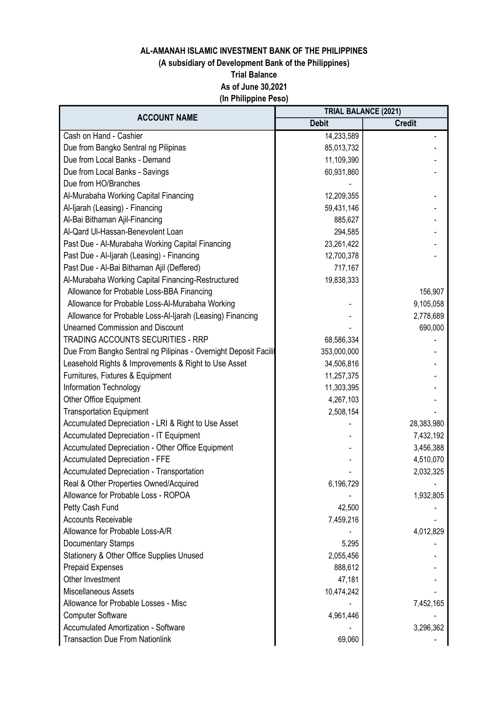# (A subsidiary of Development Bank of the Philippines)

Trial Balance

As of June 30,2021

(In Philippine Peso)

| <b>ACCOUNT NAME</b>                                             | <b>TRIAL BALANCE (2021)</b> |               |
|-----------------------------------------------------------------|-----------------------------|---------------|
|                                                                 | <b>Debit</b>                | <b>Credit</b> |
| Cash on Hand - Cashier                                          | 14,233,589                  |               |
| Due from Bangko Sentral ng Pilipinas                            | 85,013,732                  |               |
| Due from Local Banks - Demand                                   | 11,109,390                  |               |
| Due from Local Banks - Savings                                  | 60,931,860                  |               |
| Due from HO/Branches                                            |                             |               |
| Al-Murabaha Working Capital Financing                           | 12,209,355                  |               |
| Al-Ijarah (Leasing) - Financing                                 | 59,431,146                  |               |
| Al-Bai Bithaman Ajil-Financing                                  | 885,627                     |               |
| Al-Qard Ul-Hassan-Benevolent Loan                               | 294,585                     |               |
| Past Due - Al-Murabaha Working Capital Financing                | 23,261,422                  |               |
| Past Due - Al-Ijarah (Leasing) - Financing                      | 12,700,378                  |               |
| Past Due - Al-Bai Bithaman Ajil (Deffered)                      | 717,167                     |               |
| Al-Murabaha Working Capital Financing-Restructured              | 19,838,333                  |               |
| Allowance for Probable Loss-BBA Financing                       |                             | 156,907       |
| Allowance for Probable Loss-Al-Murabaha Working                 |                             | 9,105,058     |
| Allowance for Probable Loss-Al-Ijarah (Leasing) Financing       |                             | 2,778,689     |
| <b>Unearned Commission and Discount</b>                         |                             | 690,000       |
| <b>TRADING ACCOUNTS SECURITIES - RRP</b>                        | 68,586,334                  |               |
| Due From Bangko Sentral ng Pilipinas - Overnight Deposit Facili | 353,000,000                 |               |
| Leasehold Rights & Improvements & Right to Use Asset            | 34,506,816                  |               |
| Furnitures, Fixtures & Equipment                                | 11,257,375                  |               |
| Information Technology                                          | 11,303,395                  |               |
| <b>Other Office Equipment</b>                                   | 4,267,103                   |               |
| <b>Transportation Equipment</b>                                 | 2,508,154                   |               |
| Accumulated Depreciation - LRI & Right to Use Asset             |                             | 28,383,980    |
| Accumulated Depreciation - IT Equipment                         |                             | 7,432,192     |
| <b>Accumulated Depreciation - Other Office Equipment</b>        |                             | 3,456,388     |
| <b>Accumulated Depreciation - FFE</b>                           |                             | 4,510,070     |
| <b>Accumulated Depreciation - Transportation</b>                |                             | 2,032,325     |
| Real & Other Properties Owned/Acquired                          | 6,196,729                   |               |
| Allowance for Probable Loss - ROPOA                             |                             | 1,932,805     |
| Petty Cash Fund                                                 | 42,500                      |               |
| <b>Accounts Receivable</b>                                      | 7,459,216                   |               |
| Allowance for Probable Loss-A/R                                 |                             | 4,012,829     |
| Documentary Stamps                                              | 5,295                       |               |
| <b>Stationery &amp; Other Office Supplies Unused</b>            | 2,055,456                   |               |
| Prepaid Expenses                                                | 888,612                     |               |
| Other Investment                                                | 47,181                      |               |
| Miscellaneous Assets                                            | 10,474,242                  |               |
| Allowance for Probable Losses - Misc                            |                             | 7,452,165     |
| <b>Computer Software</b>                                        | 4,961,446                   |               |
| <b>Accumulated Amortization - Software</b>                      |                             | 3,296,362     |
| <b>Transaction Due From Nationlink</b>                          | 69,060                      |               |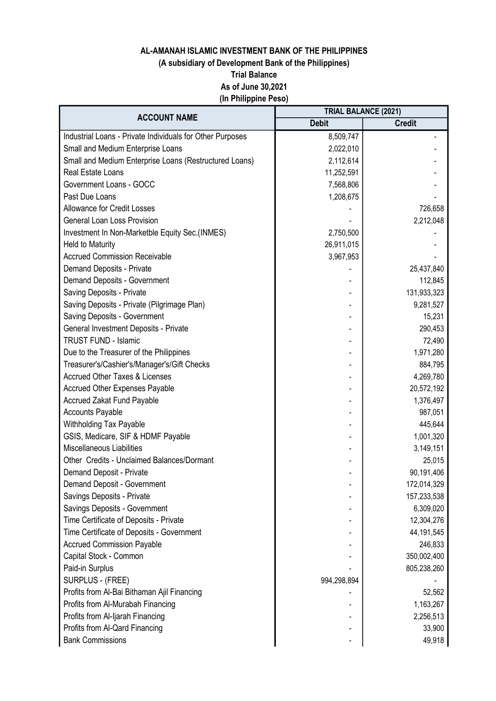## (A subsidiary of Development Bank of the Philippines)

Trial Balance

As of June 30,2021

(In Philippine Peso)

| <b>ACCOUNT NAME</b>                                       | <b>TRIAL BALANCE (2021)</b> |               |
|-----------------------------------------------------------|-----------------------------|---------------|
|                                                           | <b>Debit</b>                | <b>Credit</b> |
| Industrial Loans - Private Individuals for Other Purposes | 8,509,747                   |               |
| Small and Medium Enterprise Loans                         | 2,022,010                   |               |
| Small and Medium Enterprise Loans (Restructured Loans)    | 2,112,614                   |               |
| Real Estate Loans                                         | 11,252,591                  |               |
| Government Loans - GOCC                                   | 7,568,806                   |               |
| Past Due Loans                                            | 1,208,675                   |               |
| <b>Allowance for Credit Losses</b>                        |                             | 726,658       |
| <b>General Loan Loss Provision</b>                        |                             | 2,212,048     |
| Investment In Non-Marketble Equity Sec.(INMES)            | 2,750,500                   |               |
| <b>Held to Maturity</b>                                   | 26,911,015                  |               |
| <b>Accrued Commission Receivable</b>                      | 3,967,953                   |               |
| Demand Deposits - Private                                 |                             | 25,437,840    |
| Demand Deposits - Government                              |                             | 112,845       |
| Saving Deposits - Private                                 |                             | 131,933,323   |
| Saving Deposits - Private (Pilgrimage Plan)               |                             | 9,281,527     |
| Saving Deposits - Government                              |                             | 15,231        |
| General Investment Deposits - Private                     |                             | 290,453       |
| <b>TRUST FUND - Islamic</b>                               |                             | 72,490        |
| Due to the Treasurer of the Philippines                   |                             | 1,971,280     |
| Treasurer's/Cashier's/Manager's/Gift Checks               |                             | 884,795       |
| <b>Accrued Other Taxes &amp; Licenses</b>                 |                             | 4,269,780     |
| <b>Accrued Other Expenses Payable</b>                     |                             | 20,572,192    |
| <b>Accrued Zakat Fund Payable</b>                         |                             | 1,376,497     |
| <b>Accounts Payable</b>                                   |                             | 987,051       |
| <b>Withholding Tax Payable</b>                            |                             | 445,644       |
| GSIS, Medicare, SIF & HDMF Payable                        |                             | 1,001,320     |
| <b>Miscellaneous Liabilities</b>                          |                             | 3,149,151     |
| Other Credits - Unclaimed Balances/Dormant                |                             | 25,015        |
| Demand Deposit - Private                                  |                             | 90,191,406    |
| Demand Deposit - Government                               |                             | 172,014,329   |
| Savings Deposits - Private                                |                             | 157,233,538   |
| Savings Deposits - Government                             |                             | 6,309,020     |
| Time Certificate of Deposits - Private                    |                             | 12,304,276    |
| Time Certificate of Deposits - Government                 |                             | 44, 191, 545  |
| <b>Accrued Commission Payable</b>                         |                             | 246,833       |
| Capital Stock - Common                                    |                             | 350,002,400   |
| Paid-in Surplus                                           |                             | 805,238,260   |
| SURPLUS - (FREE)                                          | 994,298,894                 |               |
| Profits from Al-Bai Bithaman Ajil Financing               |                             | 52,562        |
| Profits from Al-Murabah Financing                         |                             | 1,163,267     |
| Profits from Al-Ijarah Financing                          |                             | 2,256,513     |
| Profits from Al-Qard Financing                            |                             | 33,900        |
| <b>Bank Commissions</b>                                   |                             | 49,918        |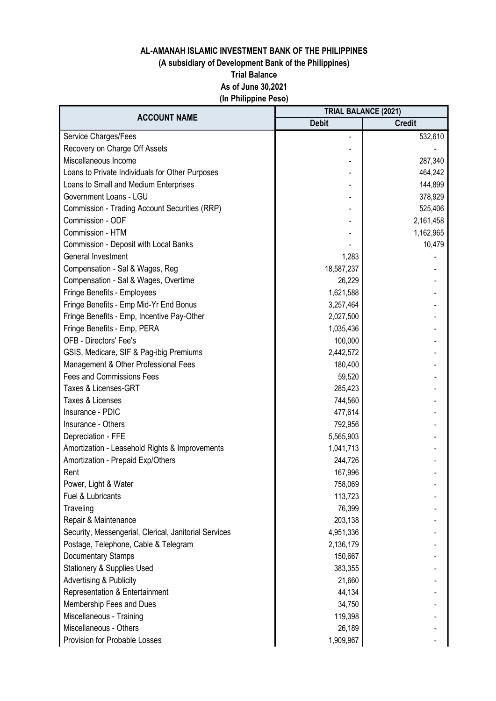## (A subsidiary of Development Bank of the Philippines)

Trial Balance

As of June 30,2021

(In Philippine Peso)

| <b>ACCOUNT NAME</b>                                   | <b>TRIAL BALANCE (2021)</b> |               |
|-------------------------------------------------------|-----------------------------|---------------|
|                                                       | <b>Debit</b>                | <b>Credit</b> |
| Service Charges/Fees                                  |                             | 532,610       |
| Recovery on Charge Off Assets                         |                             |               |
| Miscellaneous Income                                  |                             | 287,340       |
| Loans to Private Individuals for Other Purposes       |                             | 464,242       |
| Loans to Small and Medium Enterprises                 |                             | 144,899       |
| Government Loans - LGU                                |                             | 378,929       |
| Commission - Trading Account Securities (RRP)         |                             | 525,406       |
| Commission - ODF                                      |                             | 2,161,458     |
| Commission - HTM                                      |                             | 1,162,965     |
| <b>Commission - Deposit with Local Banks</b>          |                             | 10,479        |
| General Investment                                    | 1,283                       |               |
| Compensation - Sal & Wages, Reg                       | 18,587,237                  |               |
| Compensation - Sal & Wages, Overtime                  | 26,229                      |               |
| Fringe Benefits - Employees                           | 1,621,588                   |               |
| Fringe Benefits - Emp Mid-Yr End Bonus                | 3,257,464                   |               |
| Fringe Benefits - Emp, Incentive Pay-Other            | 2,027,500                   |               |
| Fringe Benefits - Emp, PERA                           | 1,035,436                   |               |
| <b>OFB - Directors' Fee's</b>                         | 100,000                     |               |
| GSIS, Medicare, SIF & Pag-ibig Premiums               | 2,442,572                   |               |
| Management & Other Professional Fees                  | 180,400                     |               |
| <b>Fees and Commissions Fees</b>                      | 59,520                      |               |
| Taxes & Licenses-GRT                                  | 285,423                     |               |
| Taxes & Licenses                                      | 744,560                     |               |
| Insurance - PDIC                                      | 477,614                     |               |
| Insurance - Others                                    | 792,956                     |               |
| Depreciation - FFE                                    | 5,565,903                   |               |
| Amortization - Leasehold Rights & Improvements        | 1,041,713                   |               |
| Amortization - Prepaid Exp/Others                     | 244,726                     |               |
| Rent                                                  | 167,996                     |               |
| Power, Light & Water                                  | 758,069                     |               |
| Fuel & Lubricants                                     | 113,723                     |               |
| Traveling                                             | 76,399                      |               |
| Repair & Maintenance                                  | 203,138                     |               |
| Security, Messengerial, Clerical, Janitorial Services | 4,951,336                   |               |
| Postage, Telephone, Cable & Telegram                  | 2,136,179                   |               |
| Documentary Stamps                                    | 150,667                     |               |
| <b>Stationery &amp; Supplies Used</b>                 | 383,355                     |               |
| <b>Advertising &amp; Publicity</b>                    | 21,660                      |               |
| Representation & Entertainment                        | 44,134                      |               |
| Membership Fees and Dues                              | 34,750                      |               |
| Miscellaneous - Training                              | 119,398                     |               |
| Miscellaneous - Others                                | 26,189                      |               |
| Provision for Probable Losses                         | 1,909,967                   |               |